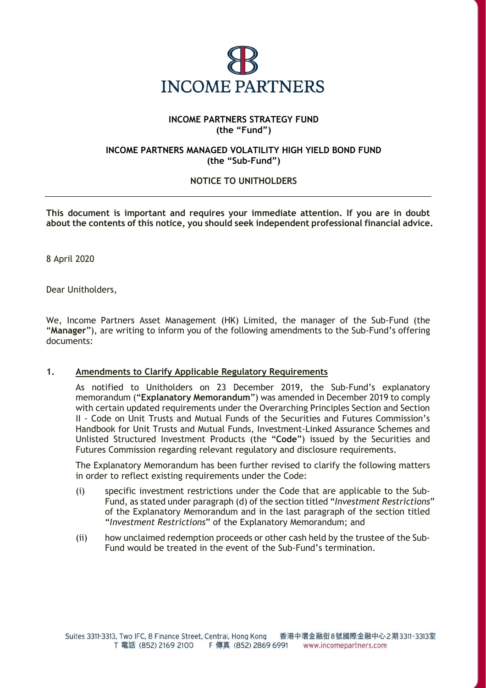

## **INCOME PARTNERS STRATEGY FUND (the "Fund")**

## **INCOME PARTNERS MANAGED VOLATILITY HIGH YIELD BOND FUND (the "Sub-Fund")**

# **NOTICE TO UNITHOLDERS**

**This document is important and requires your immediate attention. If you are in doubt about the contents of this notice, you should seek independent professional financial advice.**

8 April 2020

Dear Unitholders,

We, Income Partners Asset Management (HK) Limited, the manager of the Sub-Fund (the "**Manager**"), are writing to inform you of the following amendments to the Sub-Fund's offering documents:

#### **1. Amendments to Clarify Applicable Regulatory Requirements**

As notified to Unitholders on 23 December 2019, the Sub-Fund's explanatory memorandum ("**Explanatory Memorandum**") was amended in December 2019 to comply with certain updated requirements under the Overarching Principles Section and Section II - Code on Unit Trusts and Mutual Funds of the Securities and Futures Commission's Handbook for Unit Trusts and Mutual Funds, Investment-Linked Assurance Schemes and Unlisted Structured Investment Products (the "**Code**") issued by the Securities and Futures Commission regarding relevant regulatory and disclosure requirements.

The Explanatory Memorandum has been further revised to clarify the following matters in order to reflect existing requirements under the Code:

- (i) specific investment restrictions under the Code that are applicable to the Sub-Fund, as stated under paragraph (d) of the section titled "*Investment Restrictions*" of the Explanatory Memorandum and in the last paragraph of the section titled "*Investment Restrictions*" of the Explanatory Memorandum; and
- (ii) how unclaimed redemption proceeds or other cash held by the trustee of the Sub-Fund would be treated in the event of the Sub-Fund's termination.